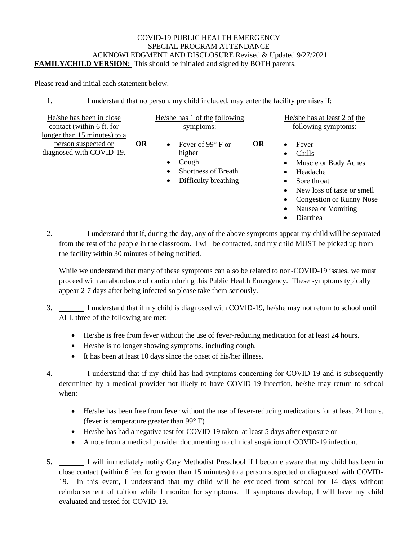## COVID-19 PUBLIC HEALTH EMERGENCY SPECIAL PROGRAM ATTENDANCE ACKNOWLEDGMENT AND DISCLOSURE Revised & Updated 9/27/2021 **FAMILY/CHILD VERSION:** This should be initialed and signed by BOTH parents.

Please read and initial each statement below.

1. I understand that no person, my child included, may enter the facility premises if:

| He/she has been in close     |    |
|------------------------------|----|
| contact (within 6 ft. for    |    |
| longer than 15 minutes) to a |    |
| person suspected or          | OR |
| diagnosed with COVID-19.     |    |

|           |  |  |  |  | He/she has 1 of the following |  |
|-----------|--|--|--|--|-------------------------------|--|
| symptoms: |  |  |  |  |                               |  |

- Fever of 99° F or higher **OR**
	- Cough
	- Shortness of Breath
- Difficulty breathing

He/she has at least 2 of the following symptoms:

- Fever
- Chills
- Muscle or Body Aches
- Headache
- Sore throat
- New loss of taste or smell
- Congestion or Runny Nose
- Nausea or Vomiting
- Diarrhea

2. I understand that if, during the day, any of the above symptoms appear my child will be separated from the rest of the people in the classroom. I will be contacted, and my child MUST be picked up from the facility within 30 minutes of being notified.

While we understand that many of these symptoms can also be related to non-COVID-19 issues, we must proceed with an abundance of caution during this Public Health Emergency. These symptoms typically appear 2-7 days after being infected so please take them seriously.

- 3. I understand that if my child is diagnosed with COVID-19, he/she may not return to school until ALL three of the following are met:
	- He/she is free from fever without the use of fever-reducing medication for at least 24 hours.
	- He/she is no longer showing symptoms, including cough.
	- It has been at least 10 days since the onset of his/her illness.
- 4. I understand that if my child has had symptoms concerning for COVID-19 and is subsequently determined by a medical provider not likely to have COVID-19 infection, he/she may return to school when:
	- He/she has been free from fever without the use of fever-reducing medications for at least 24 hours. (fever is temperature greater than 99° F)
	- He/she has had a negative test for COVID-19 taken at least 5 days after exposure or
	- A note from a medical provider documenting no clinical suspicion of COVID-19 infection.
- 5. I will immediately notify Cary Methodist Preschool if I become aware that my child has been in close contact (within 6 feet for greater than 15 minutes) to a person suspected or diagnosed with COVID-19. In this event, I understand that my child will be excluded from school for 14 days without reimbursement of tuition while I monitor for symptoms. If symptoms develop, I will have my child evaluated and tested for COVID-19.